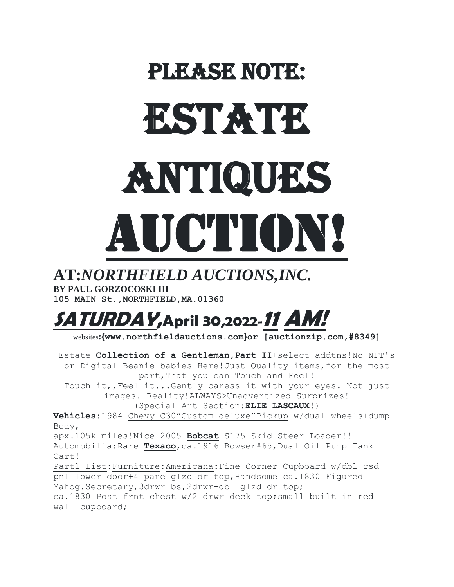## PLEASE NOTE: ESTATE Antiques AUCTION!

## **AT:***NORTHFIELD AUCTIONS,INC.* **BY PAUL GORZOCOSKI III**

**105 MAIN St.,NORTHFIELD,MA.01360**

## **SATURDAY,April 30,2022-11 AM!**

websites**:{www.northfieldauctions.com}or [auctionzip.com,#8349]**

Estate **Collection of a Gentleman,Part II**+select addtns!No NFT's or Digital Beanie babies Here!Just Quality items,for the most part,That you can Touch and Feel!

Touch it,,Feel it...Gently caress it with your eyes. Not just images. Reality!ALWAYS>Unadvertized Surprizes!

(Special Art Section:**ELIE LASCAUX**!)

**Vehicles**:1984 Chevy C30"Custom deluxe"Pickup w/dual wheels+dump Body,

apx.105k miles!Nice 2005 **Bobcat** S175 Skid Steer Loader!! Automobilia:Rare **Texaco**,ca.1916 Bowser#65,Dual Oil Pump Tank Cart!

Partl List:Furniture:Americana:Fine Corner Cupboard w/dbl rsd pnl lower door+4 pane glzd dr top,Handsome ca.1830 Figured Mahog. Secretary, 3drwr bs, 2drwr+dbl glzd dr top; ca.1830 Post frnt chest w/2 drwr deck top;small built in red wall cupboard;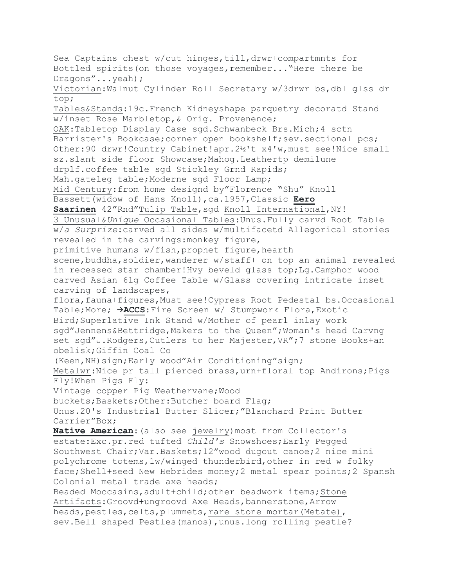Sea Captains chest w/cut hinges, till, drwr+compartmnts for Bottled spirits(on those voyages,remember..."Here there be Dragons"...yeah); Victorian:Walnut Cylinder Roll Secretary w/3drwr bs,dbl glss dr top; Tables&Stands:19c.French Kidneyshape parquetry decoratd Stand w/inset Rose Marbletop,& Orig. Provenence; OAK:Tabletop Display Case sgd.Schwanbeck Brs.Mich;4 sctn Barrister's Bookcase;corner open bookshelf;sev.sectional pcs; Other:90 drwr!Country Cabinet!apr.2½'t x4'w,must see!Nice small sz.slant side floor Showcase;Mahog.Leathertp demilune drplf.coffee table sgd Stickley Grnd Rapids; Mah.gateleg table;Moderne sgd Floor Lamp; Mid Century:from home designd by"Florence "Shu" Knoll Bassett(widow of Hans Knoll),ca.1957,Classic **Eero**  Saarinen 42"Rnd"Tulip Table, sgd Knoll International, NY! 3 Unusual&*Unique* Occasional Tables:Unus.Fully carvd Root Table w/*a Surprize*:carved all sides w/multifacetd Allegorical stories revealed in the carvings:monkey figure, primitive humans w/fish, prophet figure, hearth scene, buddha, soldier, wanderer w/staff+ on top an animal revealed in recessed star chamber!Hvy beveld glass top;Lg.Camphor wood carved Asian 6lg Coffee Table w/Glass covering intricate inset carving of landscapes, flora,fauna+figures,Must see!Cypress Root Pedestal bs.Occasional Table;More; **ACCS**:Fire Screen w/ Stumpwork Flora,Exotic Bird;Superlative Ink Stand w/Mother of pearl inlay work sgd"Jennens&Bettridge,Makers to the Queen";Woman's head Carvng set sqd"J.Rodgers, Cutlers to her Majester, VR"; 7 stone Books+an obelisk;Giffin Coal Co (Keen,NH)sign;Early wood"Air Conditioning"sign; Metalwr:Nice pr tall pierced brass,urn+floral top Andirons;Pigs Fly!When Pigs Fly: Vintage copper Pig Weathervane;Wood buckets;Baskets;Other:Butcher board Flag; Unus.20's Industrial Butter Slicer;"Blanchard Print Butter Carrier"Box; **Native American**:(also see jewelry)most from Collector's estate:Exc.pr.red tufted *Child's* Snowshoes;Early Pegged Southwest Chair;Var.Baskets;12"wood dugout canoe;2 nice mini polychrome totems,1w/winged thunderbird,other in red w folky face;Shell+seed New Hebrides money;2 metal spear points;2 Spansh Colonial metal trade axe heads; Beaded Moccasins, adult+child; other beadwork items; Stone Artifacts:Groovd+ungroovd Axe Heads,bannerstone,Arrow heads, pestles, celts, plummets, rare stone mortar (Metate), sev.Bell shaped Pestles(manos),unus.long rolling pestle?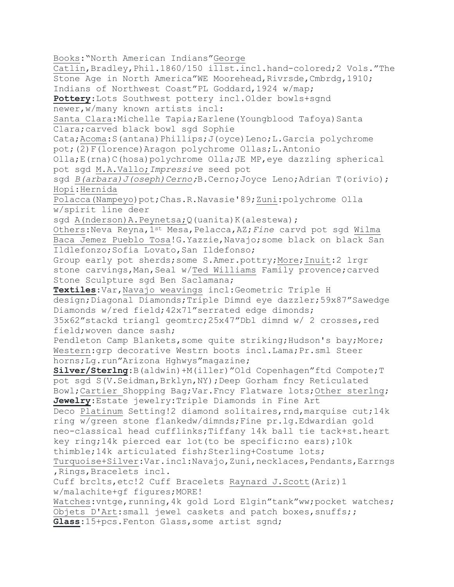Books:"North American Indians"George Catlin,Bradley,Phil.1860/150 illst.incl.hand-colored;2 Vols."The Stone Age in North America"WE Moorehead, Rivrsde, Cmbrdg, 1910; Indians of Northwest Coast"PL Goddard,1924 w/map; **Pottery**:Lots Southwest pottery incl.Older bowls+sgnd newer,w/many known artists incl: Santa Clara: Michelle Tapia; Earlene (Youngblood Tafoya) Santa Clara;carved black bowl sgd Sophie Cata; Acoma: S(antana) Phillips; J(oyce) Leno; L. Garcia polychrome pot;(2)F(lorence)Aragon polychrome Ollas;L.Antonio Olla;E(rna)C(hosa)polychrome Olla;JE MP,eye dazzling spherical pot sgd M.A.Vallo;*Impressive* seed pot sgd *B(arbara)J(oseph)Cerno;*B.Cerno;Joyce Leno;Adrian T(orivio); Hopi:Hernida Polacca(Nampeyo)pot;Chas.R.Navasie'89;Zuni:polychrome Olla w/spirit line deer sgd A(nderson)A.Peynetsa; Q(uanita) K(alestewa); Others:Neva Reyna,1st Mesa,Pelacca,AZ;*Fine* carvd pot sgd Wilma Baca Jemez Pueblo Tosa!G.Yazzie,Navajo;some black on black San Ildlefonzo; Sofia Lovato, San Ildefonso; Group early pot sherds;some S.Amer.pottry;More;Inuit:2 lrgr stone carvings, Man, Seal w/Ted Williams Family provence; carved Stone Sculpture sgd Ben Saclamana; **Textiles**:Var,Navajo weavings incl:Geometric Triple H design;Diagonal Diamonds;Triple Dimnd eye dazzler;59x87"Sawedge Diamonds w/red field;42x71"serrated edge dimonds; 35x62"stackd triangl geomtrc;25x47"Dbl dimnd w/ 2 crosses,red field;woven dance sash; Pendleton Camp Blankets, some quite striking; Hudson's bay; More; Western:grp decorative Westrn boots incl.Lama;Pr.sml Steer horns;Lg.run"Arizona Hghwys"magazine; **Silver/Sterlng**:B(aldwin)+M(iller)"Old Copenhagen"ftd Compote;T pot sgd S(V.Seidman,Brklyn,NY);Deep Gorham fncy Reticulated Bowl;Cartier Shopping Bag;Var.Fncy Flatware lots;Other sterlng; **Jewelry**:Estate jewelry:Triple Diamonds in Fine Art Deco Platinum Setting!2 diamond solitaires,rnd,marquise cut;14k ring w/green stone flankedw/dimnds;Fine pr.lg.Edwardian gold neo-classical head cufflinks;Tiffany 14k ball tie tack+st.heart key ring;14k pierced ear lot(to be specific:no ears);10k thimble;14k articulated fish;Sterling+Costume lots; Turquoise+Silver:Var.incl:Navajo,Zuni,necklaces,Pendants,Earrngs ,Rings,Bracelets incl. Cuff brclts,etc!2 Cuff Bracelets Raynard J.Scott(Ariz)1 w/malachite+gf figures;MORE! Watches: vntge, running, 4k gold Lord Elgin"tank"ww; pocket watches; Objets D'Art:small jewel caskets and patch boxes,snuffs;; **Glass**:15+pcs.Fenton Glass,some artist sgnd;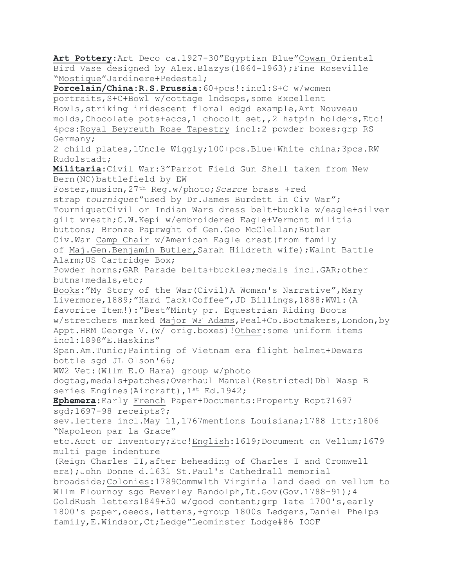**Art Pottery**:Art Deco ca.1927-30"Egyptian Blue"Cowan Oriental Bird Vase designed by Alex.Blazys(1864-1963);Fine Roseville "Mostique"Jardinere+Pedestal;

**Porcelain/China**:**R.S.Prussia**:60+pcs!:incl:S+C w/women portraits,S+C+Bowl w/cottage lndscps,some Excellent Bowls,striking iridescent floral edgd example,Art Nouveau molds,Chocolate pots+accs,1 chocolt set,,2 hatpin holders,Etc! 4pcs:Royal Beyreuth Rose Tapestry incl:2 powder boxes;grp RS Germany;

2 child plates,1Uncle Wiggly;100+pcs.Blue+White china;3pcs.RW Rudolstadt;

**Militaria**:Civil War:3"Parrot Field Gun Shell taken from New Bern(NC)battlefield by EW

Foster,musicn,27th Reg.w/photo;*Scarce* brass +red strap *tourniquet*"used by Dr.James Burdett in Civ War"; TourniquetCivil or Indian Wars dress belt+buckle w/eagle+silver gilt wreath;C.W.Kepi w/embroidered Eagle+Vermont militia buttons; Bronze Paprwght of Gen.Geo McClellan;Butler Civ.War Camp Chair w/American Eagle crest(from family of Maj.Gen.Benjamin Butler,Sarah Hildreth wife);Walnt Battle Alarm;US Cartridge Box; Powder horns;GAR Parade belts+buckles;medals incl.GAR;other butns+medals,etc; Books:"My Story of the War (Civil) A Woman's Narrative", Mary Livermore,1889;"Hard Tack+Coffee",JD Billings,1888;WW1:(A favorite Item!):"Best"Minty pr. Equestrian Riding Boots w/stretchers marked Major WF Adams, Peal+Co.Bootmakers, London, by Appt.HRM George V.(w/ orig.boxes)!Other:some uniform items

incl:1898"E.Haskins"

Span.Am.Tunic;Painting of Vietnam era flight helmet+Dewars bottle sgd JL Olson'66;

WW2 Vet:(Wllm E.O Hara) group w/photo

dogtag, medals+patches; Overhaul Manuel (Restricted) Dbl Wasp B series Engines (Aircraft), 1st Ed.1942;

**Ephemera**:Early French Paper+Documents:Property Rcpt?1697 sgd;1697-98 receipts?;

sev.letters incl.May 11,1767mentions Louisiana;1788 lttr;1806 "Napoleon par la Grace"

etc.Acct or Inventory;Etc!English:1619;Document on Vellum;1679 multi page indenture

(Reign Charles II,after beheading of Charles I and Cromwell era);John Donne d.1631 St.Paul's Cathedrall memorial broadside;Colonies:1789Commwlth Virginia land deed on vellum to Wllm Flournoy sqd Beverley Randolph, Lt. Gov (Gov. 1788-91); 4 GoldRush letters1849+50 w/good content;grp late 1700's,early 1800's paper,deeds,letters,+group 1800s Ledgers,Daniel Phelps family,E.Windsor,Ct;Ledge"Leominster Lodge#86 IOOF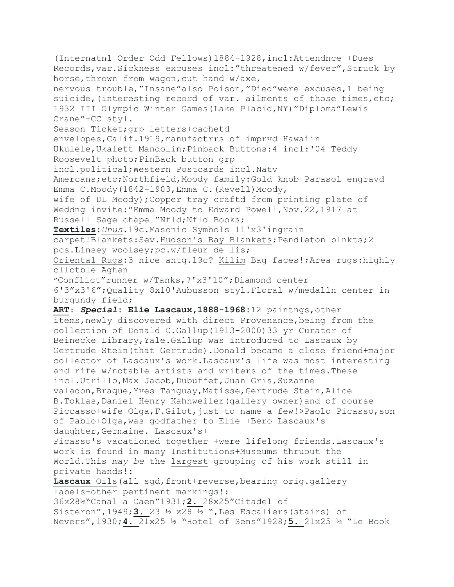(Internatnl Order Odd Fellows)1884-1928,incl:Attendnce +Dues Records,var.Sickness excuses incl:"threatened w/fever",Struck by horse, thrown from wagon, cut hand w/axe, nervous trouble,"Insane"also Poison,"Died"were excuses,1 being suicide, (interesting record of var. ailments of those times, etc; 1932 III Olympic Winter Games(Lake Placid,NY)"Diploma"Lewis Crane"+CC styl. Season Ticket;grp letters+cachetd envelopes,Calif.1919,manufactrrs of imprvd Hawaiin Ukulele,Ukalett+Mandolin;Pinback Buttons:4 incl:'04 Teddy Roosevelt photo;PinBack button grp incl.political;Western Postcards incl.Natv Amercans;etc;Northfield,Moody family:Gold knob Parasol engravd Emma C.Moody(1842-1903, Emma C. (Revell) Moody, wife of DL Moody);Copper tray craftd from printing plate of Weddng invite:"Emma Moody to Edward Powell,Nov.22,1917 at Russell Sage chapel"Nfld;Nfld Books; **Textiles**:*Unus*.19c.Masonic Symbols 11'x3'ingrain carpet!Blankets:Sev.Hudson's Bay Blankets;Pendleton blnkts;2 pcs.Linsey woolsey;pc.w/fleur de lis; Oriental Rugs:3 nice antq.19c? Kilim Bag faces!;Area rugs:highly cllctble Aghan "Conflict"runner w/Tanks,7'x3'10";Diamond center 6'3"x3'6";Quality 8x10'Aubusson styl.Floral w/medalln center in burgundy field; **ART**: *Special***: Elie Lascaux,1888-1968:**12 paintngs,other items,newly discovered with direct Provenance,being from the collection of Donald C.Gallup(1913-2000)33 yr Curator of Beinecke Library,Yale.Gallup was introduced to Lascaux by Gertrude Stein(that Gertrude).Donald became a close friend+major collector of Lascaux's work.Lascaux's life was most interesting and rife w/notable artists and writers of the times.These incl.Utrillo,Max Jacob,Dubuffet,Juan Gris,Suzanne valadon,Braque,Yves Tanguay,Matisse,Gertrude Stein,Alice B.Toklas,Daniel Henry Kahnweiler(gallery owner)and of course Piccasso+wife Olga,F.Gilot,just to name a few!>Paolo Picasso,son of Pablo+Olga,was godfather to Elie +Bero Lascaux's daughter,Germaine. Lascaux's+ Picasso's vacationed together +were lifelong friends.Lascaux's work is found in many Institutions+Museums thruout the World.This *may be* the largest grouping of his work still in private hands!: Lascaux Oils(all sgd,front+reverse, bearing orig.gallery labels+other pertinent markings!: 36x28½"Canal a Caen"1931;**2.** 28x25"Citadel of Sisteron",1949;**3.** 23 ½ x28 ½ ",Les Escaliers(stairs) of Nevers",1930;**4.** 21x25 ½ "Hotel of Sens"1928;**5.** 21x25 ½ "Le Book